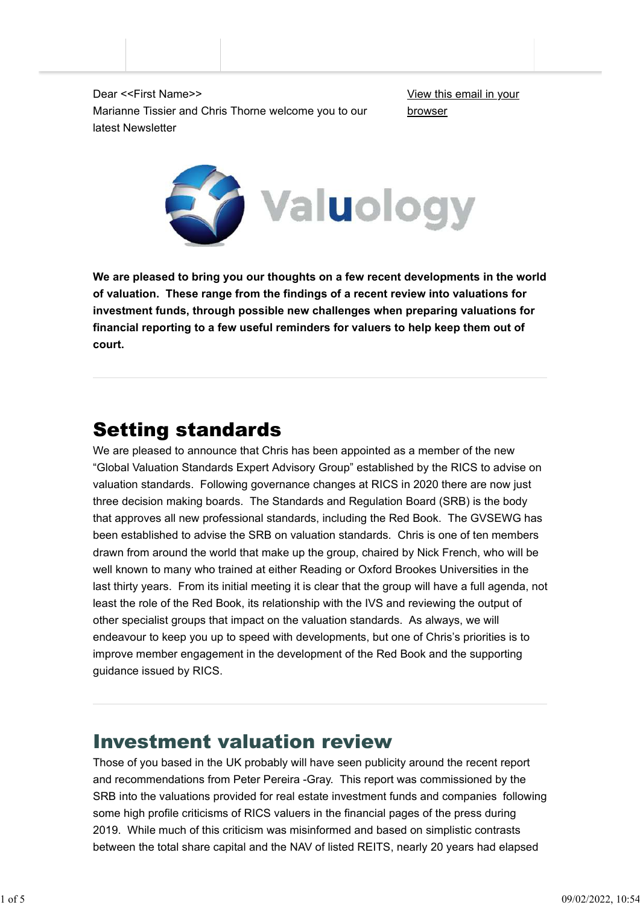Dear <<First Name>> Marianne Tissier and Chris Thorne welcome you to our latest Newsletter

View this email in your browser



**We are pleased to bring you our thoughts on a few recent developments in the world of valuation. These range from the findings of a recent review into valuations for investment funds, through possible new challenges when preparing valuations for financial reporting to a few useful reminders for valuers to help keep them out of court.**

# Setting standards

We are pleased to announce that Chris has been appointed as a member of the new "Global Valuation Standards Expert Advisory Group" established by the RICS to advise on valuation standards. Following governance changes at RICS in 2020 there are now just three decision making boards. The Standards and Regulation Board (SRB) is the body that approves all new professional standards, including the Red Book. The GVSEWG has been established to advise the SRB on valuation standards. Chris is one of ten members drawn from around the world that make up the group, chaired by Nick French, who will be well known to many who trained at either Reading or Oxford Brookes Universities in the last thirty years. From its initial meeting it is clear that the group will have a full agenda, not least the role of the Red Book, its relationship with the IVS and reviewing the output of other specialist groups that impact on the valuation standards. As always, we will endeavour to keep you up to speed with developments, but one of Chris's priorities is to improve member engagement in the development of the Red Book and the supporting guidance issued by RICS.

## Investment valuation review

Those of you based in the UK probably will have seen publicity around the recent report and recommendations from Peter Pereira -Gray. This report was commissioned by the SRB into the valuations provided for real estate investment funds and companies following some high profile criticisms of RICS valuers in the financial pages of the press during 2019. While much of this criticism was misinformed and based on simplistic contrasts between the total share capital and the NAV of listed REITS, nearly 20 years had elapsed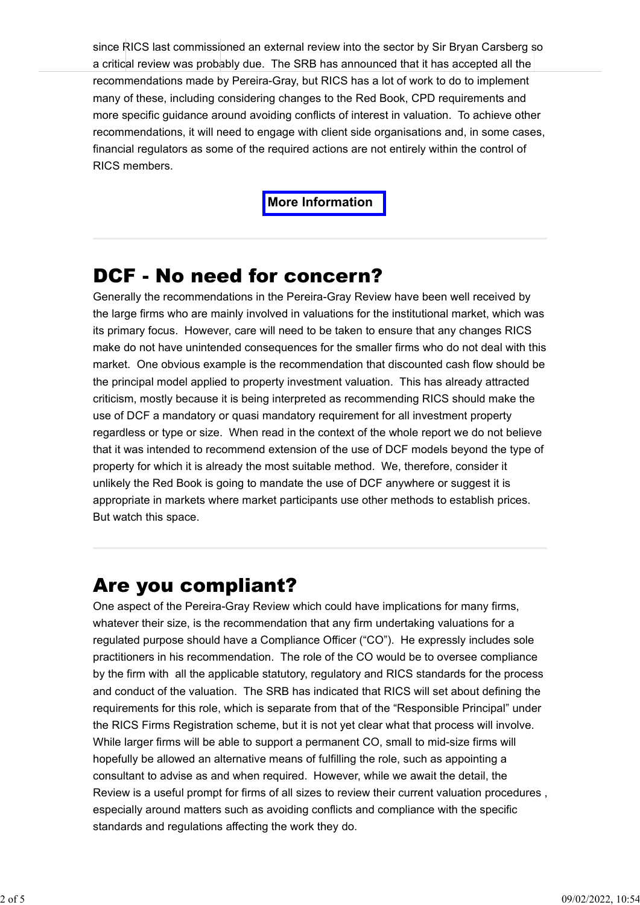since RICS last commissioned an external review into the sector by Sir Bryan Carsberg so a critical review was probably due. The SRB has announced that it has accepted all the recommendations made by Pereira-Gray, but RICS has a lot of work to do to implement many of these, including considering changes to the Red Book, CPD requirements and more specific guidance around avoiding conflicts of interest in valuation. To achieve other recommendations, it will need to engage with client side organisations and, in some cases, financial regulators as some of the required actions are not entirely within the control of RICS members.

#### **[More Information](https://www.valuology.org/rics-investment-val-review)**

### DCF - No need for concern?

Generally the recommendations in the Pereira-Gray Review have been well received by the large firms who are mainly involved in valuations for the institutional market, which was its primary focus. However, care will need to be taken to ensure that any changes RICS make do not have unintended consequences for the smaller firms who do not deal with this market. One obvious example is the recommendation that discounted cash flow should be the principal model applied to property investment valuation. This has already attracted criticism, mostly because it is being interpreted as recommending RICS should make the use of DCF a mandatory or quasi mandatory requirement for all investment property regardless or type or size. When read in the context of the whole report we do not believe that it was intended to recommend extension of the use of DCF models beyond the type of property for which it is already the most suitable method. We, therefore, consider it unlikely the Red Book is going to mandate the use of DCF anywhere or suggest it is appropriate in markets where market participants use other methods to establish prices. But watch this space.

### Are you compliant?

One aspect of the Pereira-Gray Review which could have implications for many firms, whatever their size, is the recommendation that any firm undertaking valuations for a regulated purpose should have a Compliance Officer ("CO"). He expressly includes sole practitioners in his recommendation. The role of the CO would be to oversee compliance by the firm with all the applicable statutory, regulatory and RICS standards for the process and conduct of the valuation. The SRB has indicated that RICS will set about defining the requirements for this role, which is separate from that of the "Responsible Principal" under the RICS Firms Registration scheme, but it is not yet clear what that process will involve. While larger firms will be able to support a permanent CO, small to mid-size firms will hopefully be allowed an alternative means of fulfilling the role, such as appointing a consultant to advise as and when required. However, while we await the detail, the Review is a useful prompt for firms of all sizes to review their current valuation procedures , especially around matters such as avoiding conflicts and compliance with the specific standards and regulations affecting the work they do.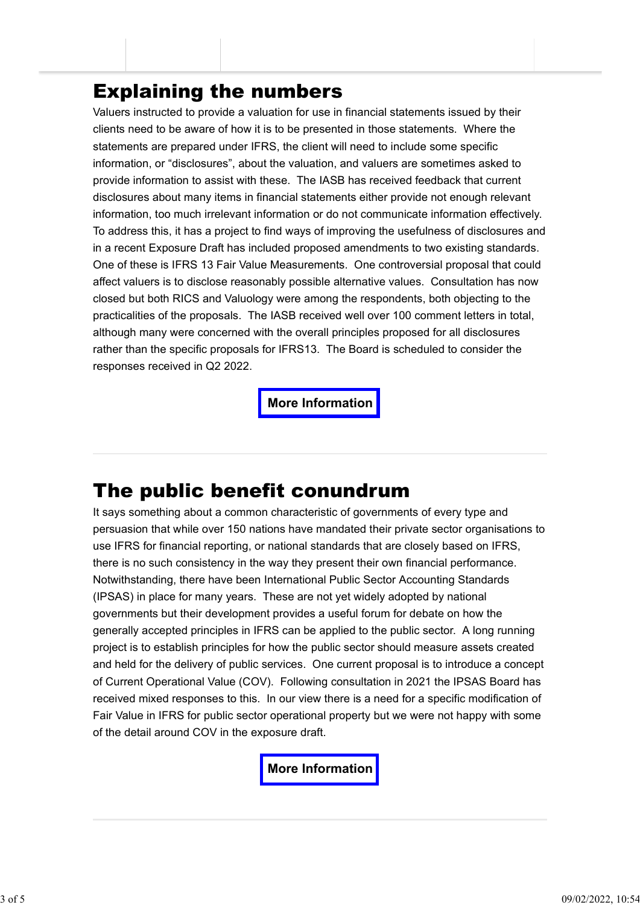## Explaining the numbers

Valuers instructed to provide a valuation for use in financial statements issued by their clients need to be aware of how it is to be presented in those statements. Where the statements are prepared under IFRS, the client will need to include some specific information, or "disclosures", about the valuation, and valuers are sometimes asked to provide information to assist with these. The IASB has received feedback that current disclosures about many items in financial statements either provide not enough relevant information, too much irrelevant information or do not communicate information effectively. To address this, it has a project to find ways of improving the usefulness of disclosures and in a recent Exposure Draft has included proposed amendments to two existing standards. One of these is IFRS 13 Fair Value Measurements. One controversial proposal that could affect valuers is to disclose reasonably possible alternative values. Consultation has now closed but both RICS and Valuology were among the respondents, both objecting to the practicalities of the proposals. The IASB received well over 100 comment letters in total, although many were concerned with the overall principles proposed for all disclosures rather than the specific proposals for IFRS13. The Board is scheduled to consider the responses received in Q2 2022.

#### **[More Information](https://www.valuology.org/iasb-disclosures-project)**

## The public benefit conundrum

It says something about a common characteristic of governments of every type and persuasion that while over 150 nations have mandated their private sector organisations to use IFRS for financial reporting, or national standards that are closely based on IFRS, there is no such consistency in the way they present their own financial performance. Notwithstanding, there have been International Public Sector Accounting Standards (IPSAS) in place for many years. These are not yet widely adopted by national governments but their development provides a useful forum for debate on how the generally accepted principles in IFRS can be applied to the public sector. A long running project is to establish principles for how the public sector should measure assets created and held for the delivery of public services. One current proposal is to introduce a concept of Current Operational Value (COV). Following consultation in 2021 the IPSAS Board has received mixed responses to this. In our view there is a need for a specific modification of Fair Value in IFRS for public sector operational property but we were not happy with some of the detail around COV in the exposure draft.

#### **[More Information](https://www.valuology.org/ipsas)**